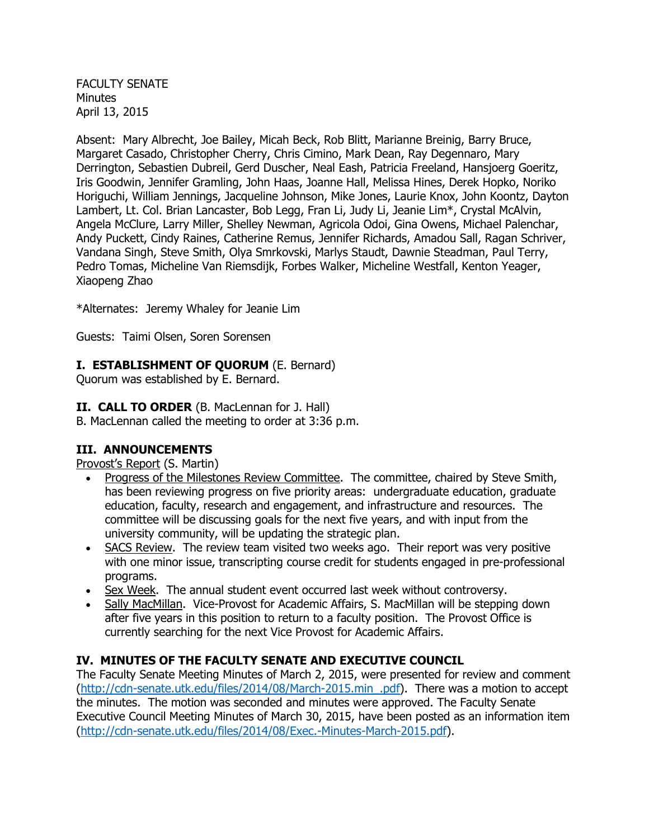FACULTY SENATE **Minutes** April 13, 2015

Absent: Mary Albrecht, Joe Bailey, Micah Beck, Rob Blitt, Marianne Breinig, Barry Bruce, Margaret Casado, Christopher Cherry, Chris Cimino, Mark Dean, Ray Degennaro, Mary Derrington, Sebastien Dubreil, Gerd Duscher, Neal Eash, Patricia Freeland, Hansjoerg Goeritz, Iris Goodwin, Jennifer Gramling, John Haas, Joanne Hall, Melissa Hines, Derek Hopko, Noriko Horiguchi, William Jennings, Jacqueline Johnson, Mike Jones, Laurie Knox, John Koontz, Dayton Lambert, Lt. Col. Brian Lancaster, Bob Legg, Fran Li, Judy Li, Jeanie Lim\*, Crystal McAlvin, Angela McClure, Larry Miller, Shelley Newman, Agricola Odoi, Gina Owens, Michael Palenchar, Andy Puckett, Cindy Raines, Catherine Remus, Jennifer Richards, Amadou Sall, Ragan Schriver, Vandana Singh, Steve Smith, Olya Smrkovski, Marlys Staudt, Dawnie Steadman, Paul Terry, Pedro Tomas, Micheline Van Riemsdijk, Forbes Walker, Micheline Westfall, Kenton Yeager, Xiaopeng Zhao

\*Alternates: Jeremy Whaley for Jeanie Lim

Guests: Taimi Olsen, Soren Sorensen

# **I. ESTABLISHMENT OF QUORUM** (E. Bernard)

Quorum was established by E. Bernard.

### **II. CALL TO ORDER** (B. MacLennan for J. Hall)

B. MacLennan called the meeting to order at 3:36 p.m.

# **III. ANNOUNCEMENTS**

Provost's Report (S. Martin)

- Progress of the Milestones Review Committee. The committee, chaired by Steve Smith, has been reviewing progress on five priority areas: undergraduate education, graduate education, faculty, research and engagement, and infrastructure and resources. The committee will be discussing goals for the next five years, and with input from the university community, will be updating the strategic plan.
- SACS Review. The review team visited two weeks ago. Their report was very positive with one minor issue, transcripting course credit for students engaged in pre-professional programs.
- Sex Week. The annual student event occurred last week without controversy.
- Sally MacMillan. Vice-Provost for Academic Affairs, S. MacMillan will be stepping down after five years in this position to return to a faculty position. The Provost Office is currently searching for the next Vice Provost for Academic Affairs.

# **IV. MINUTES OF THE FACULTY SENATE AND EXECUTIVE COUNCIL**

The Faculty Senate Meeting Minutes of March 2, 2015, were presented for review and comment [\(http://cdn-senate.utk.edu/files/2014/08/March-2015.min\\_.pdf\)](http://cdn-senate.utk.edu/files/2014/08/March-2015.min_.pdf). There was a motion to accept the minutes. The motion was seconded and minutes were approved. The Faculty Senate Executive Council Meeting Minutes of March 30, 2015, have been posted as an information item [\(http://cdn-senate.utk.edu/files/2014/08/Exec.-Minutes-March-2015.pdf\)](http://cdn-senate.utk.edu/files/2014/08/Exec.-Minutes-March-2015.pdf).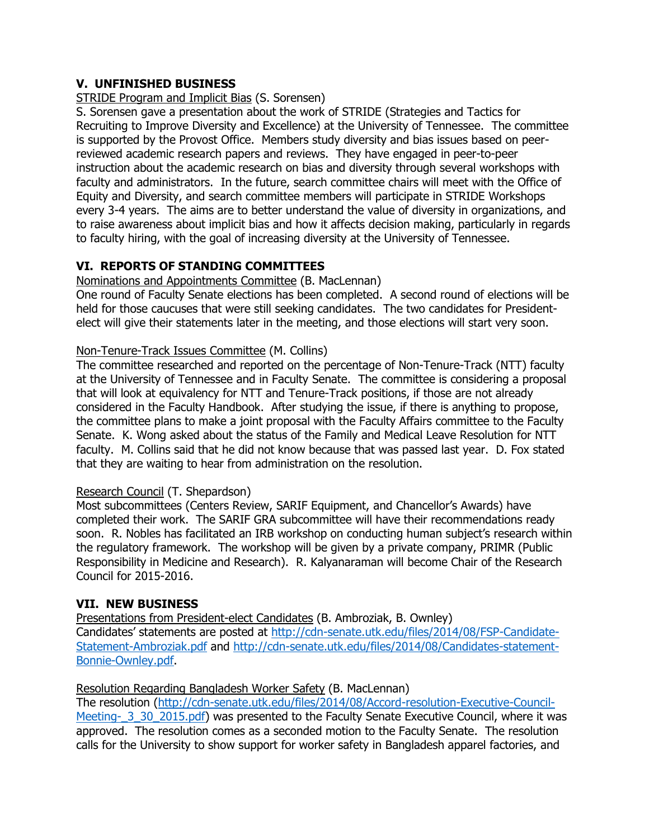# **V. UNFINISHED BUSINESS**

### STRIDE Program and Implicit Bias (S. Sorensen)

S. Sorensen gave a presentation about the work of STRIDE (Strategies and Tactics for Recruiting to Improve Diversity and Excellence) at the University of Tennessee. The committee is supported by the Provost Office. Members study diversity and bias issues based on peerreviewed academic research papers and reviews. They have engaged in peer-to-peer instruction about the academic research on bias and diversity through several workshops with faculty and administrators. In the future, search committee chairs will meet with the Office of Equity and Diversity, and search committee members will participate in STRIDE Workshops every 3-4 years. The aims are to better understand the value of diversity in organizations, and to raise awareness about implicit bias and how it affects decision making, particularly in regards to faculty hiring, with the goal of increasing diversity at the University of Tennessee.

# **VI. REPORTS OF STANDING COMMITTEES**

#### Nominations and Appointments Committee (B. MacLennan)

One round of Faculty Senate elections has been completed. A second round of elections will be held for those caucuses that were still seeking candidates. The two candidates for Presidentelect will give their statements later in the meeting, and those elections will start very soon.

### Non-Tenure-Track Issues Committee (M. Collins)

The committee researched and reported on the percentage of Non-Tenure-Track (NTT) faculty at the University of Tennessee and in Faculty Senate. The committee is considering a proposal that will look at equivalency for NTT and Tenure-Track positions, if those are not already considered in the Faculty Handbook. After studying the issue, if there is anything to propose, the committee plans to make a joint proposal with the Faculty Affairs committee to the Faculty Senate. K. Wong asked about the status of the Family and Medical Leave Resolution for NTT faculty. M. Collins said that he did not know because that was passed last year. D. Fox stated that they are waiting to hear from administration on the resolution.

### Research Council (T. Shepardson)

Most subcommittees (Centers Review, SARIF Equipment, and Chancellor's Awards) have completed their work. The SARIF GRA subcommittee will have their recommendations ready soon. R. Nobles has facilitated an IRB workshop on conducting human subject's research within the regulatory framework. The workshop will be given by a private company, PRIMR (Public Responsibility in Medicine and Research). R. Kalyanaraman will become Chair of the Research Council for 2015-2016.

### **VII. NEW BUSINESS**

Presentations from President-elect Candidates (B. Ambroziak, B. Ownley) Candidates' statements are posted at [http://cdn-senate.utk.edu/files/2014/08/FSP-Candidate-](http://cdn-senate.utk.edu/files/2014/08/FSP-Candidate-Statement-Ambroziak.pdf)[Statement-Ambroziak.pdf](http://cdn-senate.utk.edu/files/2014/08/FSP-Candidate-Statement-Ambroziak.pdf) and [http://cdn-senate.utk.edu/files/2014/08/Candidates-statement-](http://cdn-senate.utk.edu/files/2014/08/Candidates-statement-Bonnie-Ownley.pdf)[Bonnie-Ownley.pdf.](http://cdn-senate.utk.edu/files/2014/08/Candidates-statement-Bonnie-Ownley.pdf)

### Resolution Regarding Bangladesh Worker Safety (B. MacLennan)

The resolution [\(http://cdn-senate.utk.edu/files/2014/08/Accord-resolution-Executive-Council-](http://cdn-senate.utk.edu/files/2014/08/Accord-resolution-Executive-Council-Meeting-_3_30_2015.pdf)Meeting- 3\_30\_2015.pdf) was presented to the Faculty Senate Executive Council, where it was approved. The resolution comes as a seconded motion to the Faculty Senate. The resolution calls for the University to show support for worker safety in Bangladesh apparel factories, and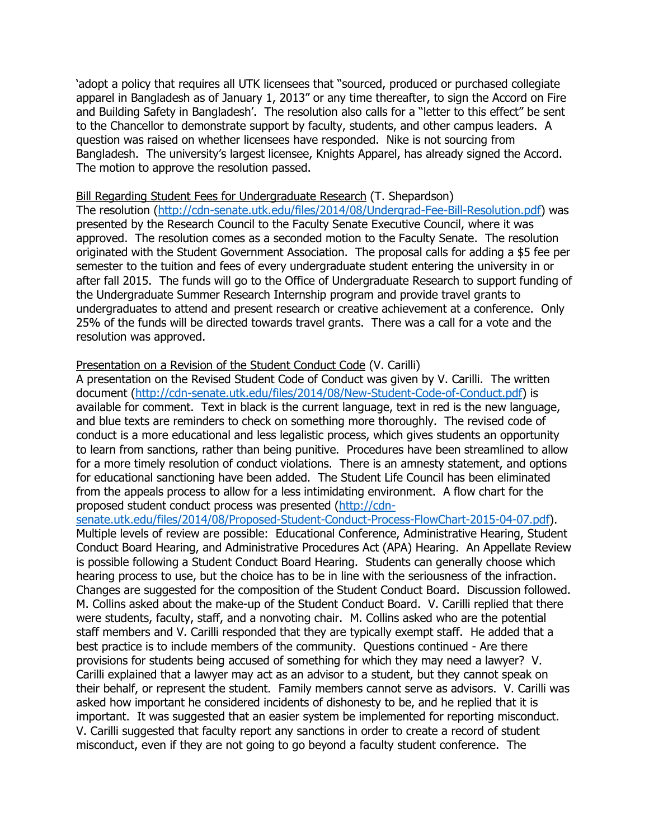'adopt a policy that requires all UTK licensees that "sourced, produced or purchased collegiate apparel in Bangladesh as of January 1, 2013" or any time thereafter, to sign the Accord on Fire and Building Safety in Bangladesh'. The resolution also calls for a "letter to this effect" be sent to the Chancellor to demonstrate support by faculty, students, and other campus leaders. A question was raised on whether licensees have responded. Nike is not sourcing from Bangladesh. The university's largest licensee, Knights Apparel, has already signed the Accord. The motion to approve the resolution passed.

#### Bill Regarding Student Fees for Undergraduate Research (T. Shepardson)

The resolution [\(http://cdn-senate.utk.edu/files/2014/08/Undergrad-Fee-Bill-Resolution.pdf\)](http://cdn-senate.utk.edu/files/2014/08/Undergrad-Fee-Bill-Resolution.pdf) was presented by the Research Council to the Faculty Senate Executive Council, where it was approved. The resolution comes as a seconded motion to the Faculty Senate. The resolution originated with the Student Government Association. The proposal calls for adding a \$5 fee per semester to the tuition and fees of every undergraduate student entering the university in or after fall 2015. The funds will go to the Office of Undergraduate Research to support funding of the Undergraduate Summer Research Internship program and provide travel grants to undergraduates to attend and present research or creative achievement at a conference. Only 25% of the funds will be directed towards travel grants. There was a call for a vote and the resolution was approved.

#### Presentation on a Revision of the Student Conduct Code (V. Carilli)

A presentation on the Revised Student Code of Conduct was given by V. Carilli. The written document [\(http://cdn-senate.utk.edu/files/2014/08/New-Student-Code-of-Conduct.pdf\)](http://cdn-senate.utk.edu/files/2014/08/New-Student-Code-of-Conduct.pdf) is available for comment. Text in black is the current language, text in red is the new language, and blue texts are reminders to check on something more thoroughly. The revised code of conduct is a more educational and less legalistic process, which gives students an opportunity to learn from sanctions, rather than being punitive. Procedures have been streamlined to allow for a more timely resolution of conduct violations. There is an amnesty statement, and options for educational sanctioning have been added. The Student Life Council has been eliminated from the appeals process to allow for a less intimidating environment. A flow chart for the proposed student conduct process was presented [\(http://cdn-](http://cdn-senate.utk.edu/files/2014/08/Proposed-Student-Conduct-Process-FlowChart-2015-04-07.pdf)

[senate.utk.edu/files/2014/08/Proposed-Student-Conduct-Process-FlowChart-2015-04-07.pdf\)](http://cdn-senate.utk.edu/files/2014/08/Proposed-Student-Conduct-Process-FlowChart-2015-04-07.pdf).

Multiple levels of review are possible: Educational Conference, Administrative Hearing, Student Conduct Board Hearing, and Administrative Procedures Act (APA) Hearing. An Appellate Review is possible following a Student Conduct Board Hearing. Students can generally choose which hearing process to use, but the choice has to be in line with the seriousness of the infraction. Changes are suggested for the composition of the Student Conduct Board. Discussion followed. M. Collins asked about the make-up of the Student Conduct Board. V. Carilli replied that there were students, faculty, staff, and a nonvoting chair. M. Collins asked who are the potential staff members and V. Carilli responded that they are typically exempt staff. He added that a best practice is to include members of the community. Questions continued - Are there provisions for students being accused of something for which they may need a lawyer? V. Carilli explained that a lawyer may act as an advisor to a student, but they cannot speak on their behalf, or represent the student. Family members cannot serve as advisors. V. Carilli was asked how important he considered incidents of dishonesty to be, and he replied that it is important. It was suggested that an easier system be implemented for reporting misconduct. V. Carilli suggested that faculty report any sanctions in order to create a record of student misconduct, even if they are not going to go beyond a faculty student conference. The